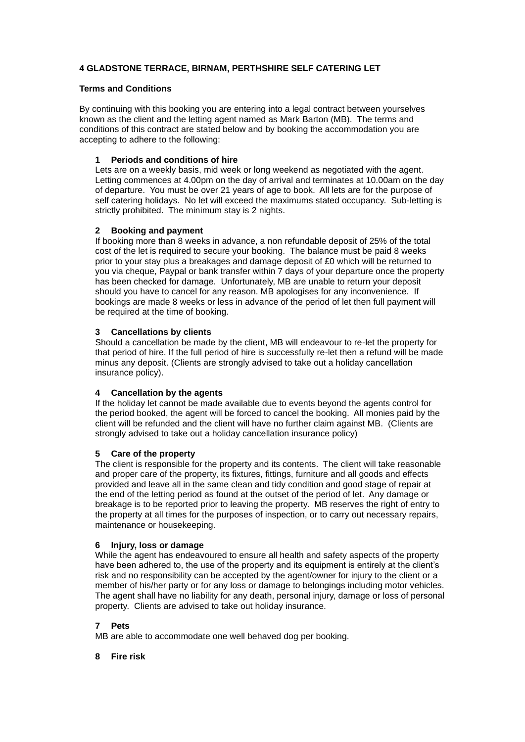# **4 GLADSTONE TERRACE, BIRNAM, PERTHSHIRE SELF CATERING LET**

### **Terms and Conditions**

By continuing with this booking you are entering into a legal contract between yourselves known as the client and the letting agent named as Mark Barton (MB). The terms and conditions of this contract are stated below and by booking the accommodation you are accepting to adhere to the following:

## **1 Periods and conditions of hire**

Lets are on a weekly basis, mid week or long weekend as negotiated with the agent. Letting commences at 4.00pm on the day of arrival and terminates at 10.00am on the day of departure. You must be over 21 years of age to book. All lets are for the purpose of self catering holidays. No let will exceed the maximums stated occupancy. Sub-letting is strictly prohibited. The minimum stay is 2 nights.

## **2 Booking and payment**

If booking more than 8 weeks in advance, a non refundable deposit of 25% of the total cost of the let is required to secure your booking. The balance must be paid 8 weeks prior to your stay plus a breakages and damage deposit of £0 which will be returned to you via cheque, Paypal or bank transfer within 7 days of your departure once the property has been checked for damage. Unfortunately, MB are unable to return your deposit should you have to cancel for any reason. MB apologises for any inconvenience. If bookings are made 8 weeks or less in advance of the period of let then full payment will be required at the time of booking.

## **3 Cancellations by clients**

Should a cancellation be made by the client, MB will endeavour to re-let the property for that period of hire. If the full period of hire is successfully re-let then a refund will be made minus any deposit. (Clients are strongly advised to take out a holiday cancellation insurance policy).

## **4 Cancellation by the agents**

If the holiday let cannot be made available due to events beyond the agents control for the period booked, the agent will be forced to cancel the booking. All monies paid by the client will be refunded and the client will have no further claim against MB. (Clients are strongly advised to take out a holiday cancellation insurance policy)

## **5 Care of the property**

The client is responsible for the property and its contents. The client will take reasonable and proper care of the property, its fixtures, fittings, furniture and all goods and effects provided and leave all in the same clean and tidy condition and good stage of repair at the end of the letting period as found at the outset of the period of let. Any damage or breakage is to be reported prior to leaving the property. MB reserves the right of entry to the property at all times for the purposes of inspection, or to carry out necessary repairs, maintenance or housekeeping.

### **6 Injury, loss or damage**

While the agent has endeavoured to ensure all health and safety aspects of the property have been adhered to, the use of the property and its equipment is entirely at the client's risk and no responsibility can be accepted by the agent/owner for injury to the client or a member of his/her party or for any loss or damage to belongings including motor vehicles. The agent shall have no liability for any death, personal injury, damage or loss of personal property. Clients are advised to take out holiday insurance.

### **7 Pets**

MB are able to accommodate one well behaved dog per booking.

### **8 Fire risk**